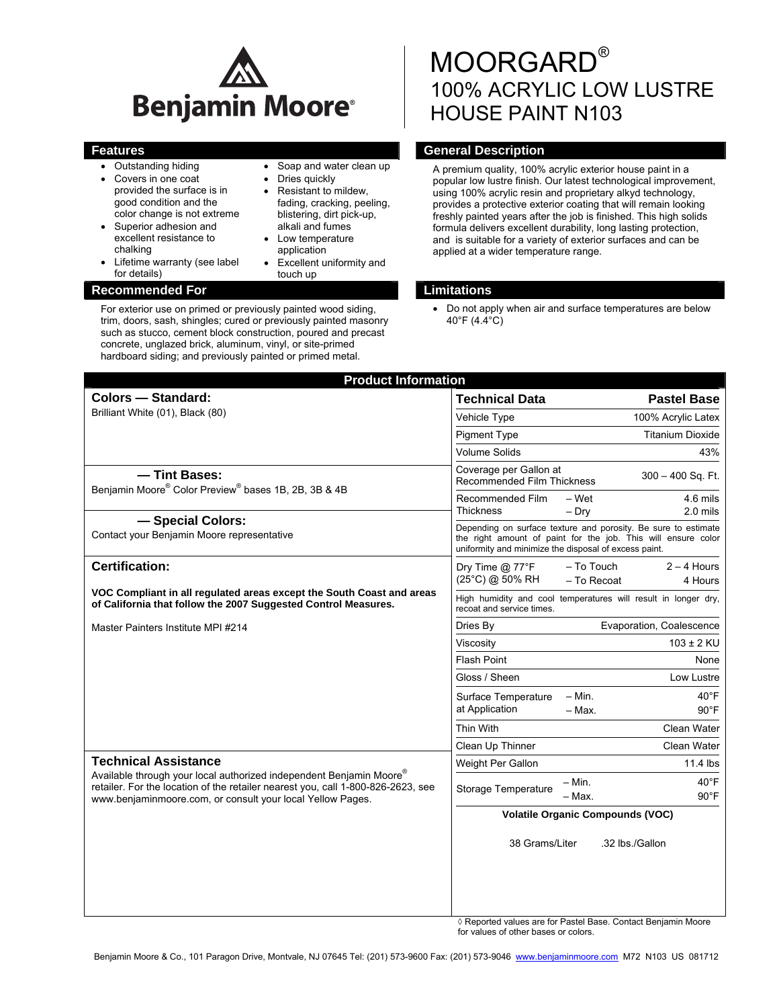

- Outstanding hiding
- Covers in one coat provided the surface is in good condition and the color change is not extreme
- Superior adhesion and excellent resistance to chalking
- Lifetime warranty (see label for details)

#### **Recommended For Limitations 1999**

- Soap and water clean up
- Dries quickly
- Resistant to mildew, fading, cracking, peeling, blistering, dirt pick-up, alkali and fumes
- Low temperature application
- Excellent uniformity and touch up

For exterior use on primed or previously painted wood siding, trim, doors, sash, shingles; cured or previously painted masonry such as stucco, cement block construction, poured and precast concrete, unglazed brick, aluminum, vinyl, or site-primed hardboard siding; and previously painted or primed metal.

# MOORGARD® 100% ACRYLIC LOW LUSTRE HOUSE PAINT N103

# **Features General Description General Description**

A premium quality, 100% acrylic exterior house paint in a popular low lustre finish. Our latest technological improvement, using 100% acrylic resin and proprietary alkyd technology, provides a protective exterior coating that will remain looking freshly painted years after the job is finished. This high solids formula delivers excellent durability, long lasting protection, and is suitable for a variety of exterior surfaces and can be applied at a wider temperature range.

• Do not apply when air and surface temperatures are below 40°F (4.4°C)

| <b>Product Information</b>                                                                                                                                                                                                                           |                                                                                                                                                                                          |
|------------------------------------------------------------------------------------------------------------------------------------------------------------------------------------------------------------------------------------------------------|------------------------------------------------------------------------------------------------------------------------------------------------------------------------------------------|
| <b>Colors - Standard:</b>                                                                                                                                                                                                                            | <b>Technical Data</b><br><b>Pastel Base</b>                                                                                                                                              |
| Brilliant White (01), Black (80)                                                                                                                                                                                                                     | Vehicle Type<br>100% Acrylic Latex                                                                                                                                                       |
|                                                                                                                                                                                                                                                      | <b>Pigment Type</b><br><b>Titanium Dioxide</b>                                                                                                                                           |
|                                                                                                                                                                                                                                                      | <b>Volume Solids</b><br>43%                                                                                                                                                              |
| - Tint Bases:<br>Benjamin Moore® Color Preview® bases 1B, 2B, 3B & 4B                                                                                                                                                                                | Coverage per Gallon at<br>$300 - 400$ Sq. Ft.<br>Recommended Film Thickness                                                                                                              |
|                                                                                                                                                                                                                                                      | 4.6 mils<br>Recommended Film<br>– Wet<br><b>Thickness</b><br>$2.0$ mils<br>$-$ Dry                                                                                                       |
| - Special Colors:<br>Contact your Benjamin Moore representative                                                                                                                                                                                      | Depending on surface texture and porosity. Be sure to estimate<br>the right amount of paint for the job. This will ensure color<br>uniformity and minimize the disposal of excess paint. |
| <b>Certification:</b>                                                                                                                                                                                                                                | - To Touch<br>$2 - 4$ Hours<br>Dry Time @ 77°F<br>(25°C) @ 50% RH<br>- To Recoat<br>4 Hours                                                                                              |
| VOC Compliant in all regulated areas except the South Coast and areas<br>of California that follow the 2007 Suggested Control Measures.                                                                                                              | High humidity and cool temperatures will result in longer dry,<br>recoat and service times.                                                                                              |
| Master Painters Institute MPI #214                                                                                                                                                                                                                   | Evaporation, Coalescence<br>Dries By                                                                                                                                                     |
|                                                                                                                                                                                                                                                      | $103 \pm 2$ KU<br>Viscosity                                                                                                                                                              |
|                                                                                                                                                                                                                                                      | Flash Point<br>None                                                                                                                                                                      |
|                                                                                                                                                                                                                                                      | Gloss / Sheen<br>Low Lustre                                                                                                                                                              |
|                                                                                                                                                                                                                                                      | $- Min.$<br>$40^{\circ}$ F<br>Surface Temperature<br>at Application<br>$-$ Max.<br>$90^{\circ}$ F                                                                                        |
|                                                                                                                                                                                                                                                      | Thin With<br>Clean Water                                                                                                                                                                 |
|                                                                                                                                                                                                                                                      | Clean Up Thinner<br>Clean Water                                                                                                                                                          |
| <b>Technical Assistance</b><br>Available through your local authorized independent Benjamin Moore®<br>retailer. For the location of the retailer nearest you, call 1-800-826-2623, see<br>www.benjaminmoore.com, or consult your local Yellow Pages. | 11.4 lbs<br>Weight Per Gallon                                                                                                                                                            |
|                                                                                                                                                                                                                                                      | $-$ Min.<br>$40^{\circ}$ F<br>Storage Temperature<br>- Max.<br>$90^{\circ}$ F                                                                                                            |
|                                                                                                                                                                                                                                                      | <b>Volatile Organic Compounds (VOC)</b>                                                                                                                                                  |
|                                                                                                                                                                                                                                                      | 38 Grams/Liter<br>.32 lbs./Gallon                                                                                                                                                        |
|                                                                                                                                                                                                                                                      |                                                                                                                                                                                          |

◊ Reported values are for Pastel Base. Contact Benjamin Moore for values of other bases or colors.